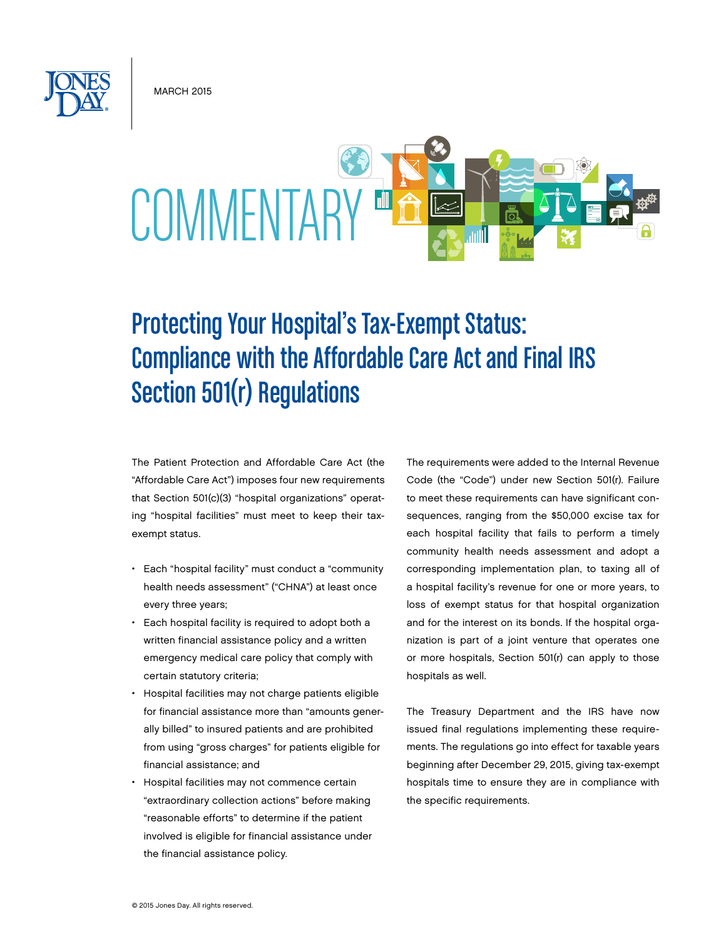**MARCH 2015** 



# Protecting Your Hospital's Tax-Exempt Status: Compliance with the Affordable Care Act and Final IRS Section 501(r) Regulations

The Patient Protection and Affordable Care Act (the "Affordable Care Act") imposes four new requirements that Section 501(c)(3) "hospital organizations" operating "hospital facilities" must meet to keep their taxexempt status.

- • Each "hospital facility" must conduct a "community health needs assessment" ("CHNA") at least once every three years;
- Each hospital facility is required to adopt both a written financial assistance policy and a written emergency medical care policy that comply with certain statutory criteria;
- Hospital facilities may not charge patients eligible for financial assistance more than "amounts generally billed" to insured patients and are prohibited from using "gross charges" for patients eligible for financial assistance; and
- Hospital facilities may not commence certain "extraordinary collection actions" before making "reasonable efforts" to determine if the patient involved is eligible for financial assistance under the financial assistance policy.

The requirements were added to the Internal Revenue Code (the "Code") under new Section 501(r). Failure to meet these requirements can have significant consequences, ranging from the \$50,000 excise tax for each hospital facility that fails to perform a timely community health needs assessment and adopt a corresponding implementation plan, to taxing all of a hospital facility's revenue for one or more years, to loss of exempt status for that hospital organization and for the interest on its bonds. If the hospital organization is part of a joint venture that operates one or more hospitals, Section 501(r) can apply to those hospitals as well.

The Treasury Department and the IRS have now issued final regulations implementing these requirements. The regulations go into effect for taxable years beginning after December 29, 2015, giving tax-exempt hospitals time to ensure they are in compliance with the specific requirements.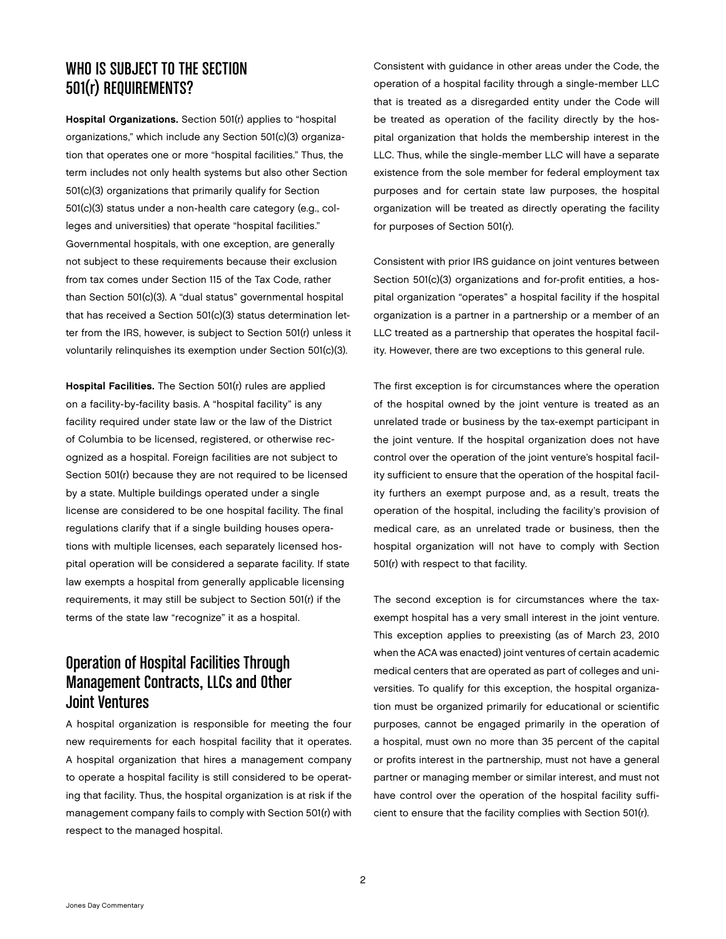# WHO IS SUBJECT TO THE SECTION 501(r) REQUIREMENTS?

Hospital Organizations. Section 501(r) applies to "hospital organizations," which include any Section 501(c)(3) organization that operates one or more "hospital facilities." Thus, the term includes not only health systems but also other Section 501(c)(3) organizations that primarily qualify for Section 501(c)(3) status under a non-health care category (e.g., colleges and universities) that operate "hospital facilities." Governmental hospitals, with one exception, are generally not subject to these requirements because their exclusion from tax comes under Section 115 of the Tax Code, rather than Section 501(c)(3). A "dual status" governmental hospital that has received a Section 501(c)(3) status determination letter from the IRS, however, is subject to Section 501(r) unless it voluntarily relinquishes its exemption under Section 501(c)(3).

Hospital Facilities. The Section 501(r) rules are applied on a facility-by-facility basis. A "hospital facility" is any facility required under state law or the law of the District of Columbia to be licensed, registered, or otherwise recognized as a hospital. Foreign facilities are not subject to Section 501(r) because they are not required to be licensed by a state. Multiple buildings operated under a single license are considered to be one hospital facility. The final regulations clarify that if a single building houses operations with multiple licenses, each separately licensed hospital operation will be considered a separate facility. If state law exempts a hospital from generally applicable licensing requirements, it may still be subject to Section 501(r) if the terms of the state law "recognize" it as a hospital.

# Operation of Hospital Facilities Through Management Contracts, LLCs and Other Joint Ventures

A hospital organization is responsible for meeting the four new requirements for each hospital facility that it operates. A hospital organization that hires a management company to operate a hospital facility is still considered to be operating that facility. Thus, the hospital organization is at risk if the management company fails to comply with Section 501(r) with respect to the managed hospital.

Consistent with guidance in other areas under the Code, the operation of a hospital facility through a single-member LLC that is treated as a disregarded entity under the Code will be treated as operation of the facility directly by the hospital organization that holds the membership interest in the LLC. Thus, while the single-member LLC will have a separate existence from the sole member for federal employment tax purposes and for certain state law purposes, the hospital organization will be treated as directly operating the facility for purposes of Section 501(r).

Consistent with prior IRS guidance on joint ventures between Section 501(c)(3) organizations and for-profit entities, a hospital organization "operates" a hospital facility if the hospital organization is a partner in a partnership or a member of an LLC treated as a partnership that operates the hospital facility. However, there are two exceptions to this general rule.

The first exception is for circumstances where the operation of the hospital owned by the joint venture is treated as an unrelated trade or business by the tax-exempt participant in the joint venture. If the hospital organization does not have control over the operation of the joint venture's hospital facility sufficient to ensure that the operation of the hospital facility furthers an exempt purpose and, as a result, treats the operation of the hospital, including the facility's provision of medical care, as an unrelated trade or business, then the hospital organization will not have to comply with Section 501(r) with respect to that facility.

The second exception is for circumstances where the taxexempt hospital has a very small interest in the joint venture. This exception applies to preexisting (as of March 23, 2010 when the ACA was enacted) joint ventures of certain academic medical centers that are operated as part of colleges and universities. To qualify for this exception, the hospital organization must be organized primarily for educational or scientific purposes, cannot be engaged primarily in the operation of a hospital, must own no more than 35 percent of the capital or profits interest in the partnership, must not have a general partner or managing member or similar interest, and must not have control over the operation of the hospital facility sufficient to ensure that the facility complies with Section 501(r).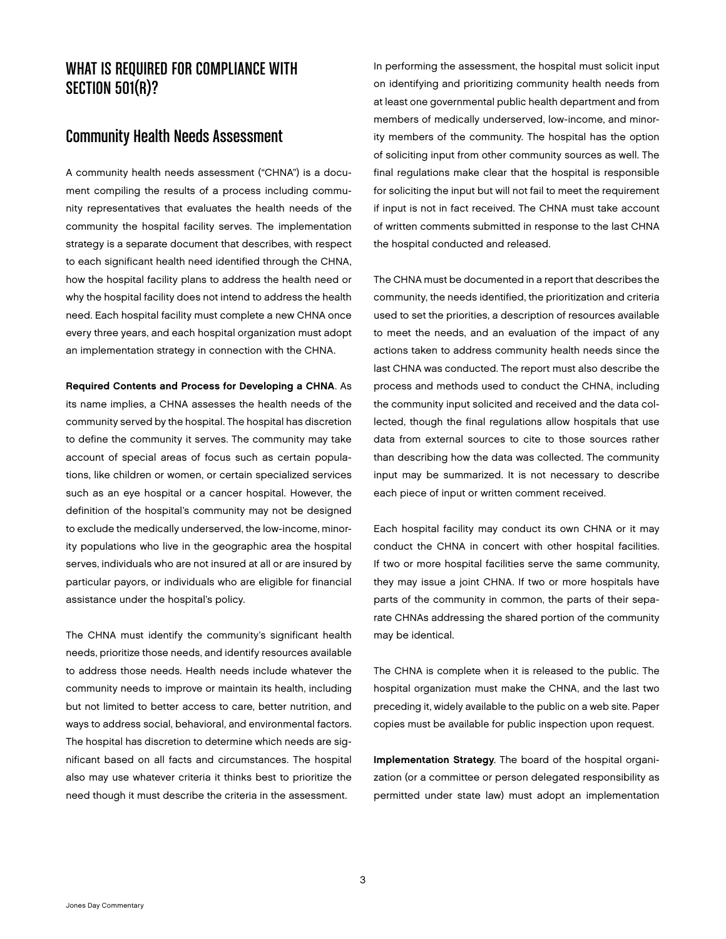### WHAT IS REQUIRED FOR COMPLIANCE WITH **SECTION 501(R)?**

#### Community Health Needs Assessment

A community health needs assessment ("CHNA") is a document compiling the results of a process including community representatives that evaluates the health needs of the community the hospital facility serves. The implementation strategy is a separate document that describes, with respect to each significant health need identified through the CHNA, how the hospital facility plans to address the health need or why the hospital facility does not intend to address the health need. Each hospital facility must complete a new CHNA once every three years, and each hospital organization must adopt an implementation strategy in connection with the CHNA.

Required Contents and Process for Developing a CHNA. As its name implies, a CHNA assesses the health needs of the community served by the hospital. The hospital has discretion to define the community it serves. The community may take account of special areas of focus such as certain populations, like children or women, or certain specialized services such as an eye hospital or a cancer hospital. However, the definition of the hospital's community may not be designed to exclude the medically underserved, the low-income, minority populations who live in the geographic area the hospital serves, individuals who are not insured at all or are insured by particular payors, or individuals who are eligible for financial assistance under the hospital's policy.

The CHNA must identify the community's significant health needs, prioritize those needs, and identify resources available to address those needs. Health needs include whatever the community needs to improve or maintain its health, including but not limited to better access to care, better nutrition, and ways to address social, behavioral, and environmental factors. The hospital has discretion to determine which needs are significant based on all facts and circumstances. The hospital also may use whatever criteria it thinks best to prioritize the need though it must describe the criteria in the assessment.

In performing the assessment, the hospital must solicit input on identifying and prioritizing community health needs from at least one governmental public health department and from members of medically underserved, low-income, and minority members of the community. The hospital has the option of soliciting input from other community sources as well. The final regulations make clear that the hospital is responsible for soliciting the input but will not fail to meet the requirement if input is not in fact received. The CHNA must take account of written comments submitted in response to the last CHNA the hospital conducted and released.

The CHNA must be documented in a report that describes the community, the needs identified, the prioritization and criteria used to set the priorities, a description of resources available to meet the needs, and an evaluation of the impact of any actions taken to address community health needs since the last CHNA was conducted. The report must also describe the process and methods used to conduct the CHNA, including the community input solicited and received and the data collected, though the final regulations allow hospitals that use data from external sources to cite to those sources rather than describing how the data was collected. The community input may be summarized. It is not necessary to describe each piece of input or written comment received.

Each hospital facility may conduct its own CHNA or it may conduct the CHNA in concert with other hospital facilities. If two or more hospital facilities serve the same community, they may issue a joint CHNA. If two or more hospitals have parts of the community in common, the parts of their separate CHNAs addressing the shared portion of the community may be identical.

The CHNA is complete when it is released to the public. The hospital organization must make the CHNA, and the last two preceding it, widely available to the public on a web site. Paper copies must be available for public inspection upon request.

Implementation Strategy. The board of the hospital organization (or a committee or person delegated responsibility as permitted under state law) must adopt an implementation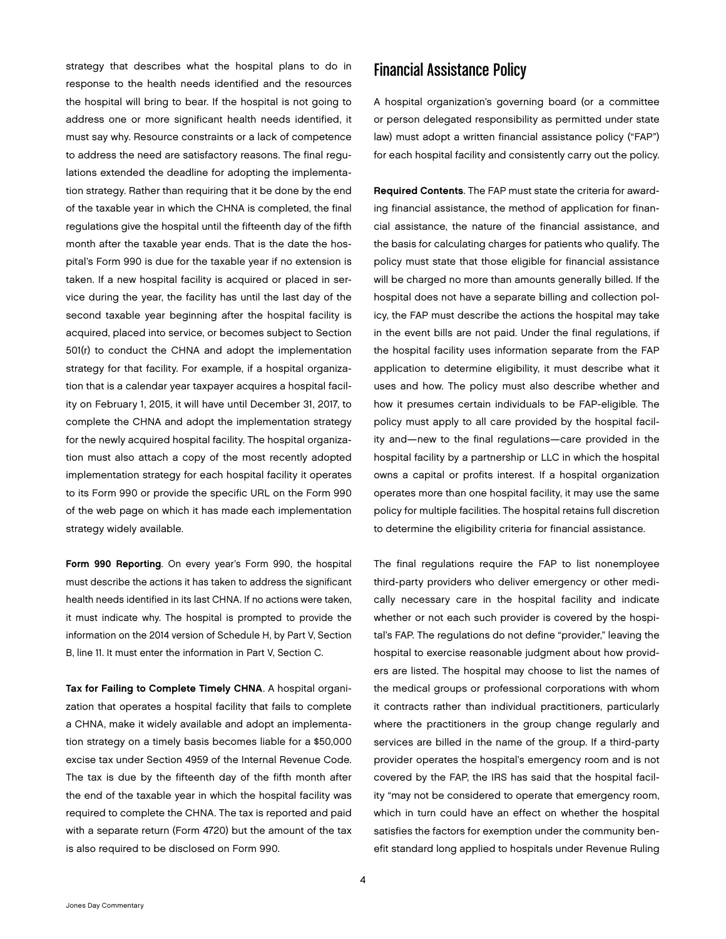strategy that describes what the hospital plans to do in response to the health needs identified and the resources the hospital will bring to bear. If the hospital is not going to address one or more significant health needs identified, it must say why. Resource constraints or a lack of competence to address the need are satisfactory reasons. The final regulations extended the deadline for adopting the implementation strategy. Rather than requiring that it be done by the end of the taxable year in which the CHNA is completed, the final regulations give the hospital until the fifteenth day of the fifth month after the taxable year ends. That is the date the hospital's Form 990 is due for the taxable year if no extension is taken. If a new hospital facility is acquired or placed in service during the year, the facility has until the last day of the second taxable year beginning after the hospital facility is acquired, placed into service, or becomes subject to Section 501(r) to conduct the CHNA and adopt the implementation strategy for that facility. For example, if a hospital organization that is a calendar year taxpayer acquires a hospital facility on February 1, 2015, it will have until December 31, 2017, to complete the CHNA and adopt the implementation strategy for the newly acquired hospital facility. The hospital organization must also attach a copy of the most recently adopted implementation strategy for each hospital facility it operates to its Form 990 or provide the specific URL on the Form 990 of the web page on which it has made each implementation strategy widely available.

Form 990 Reporting. On every year's Form 990, the hospital must describe the actions it has taken to address the significant health needs identified in its last CHNA. If no actions were taken, it must indicate why. The hospital is prompted to provide the information on the 2014 version of Schedule H, by Part V, Section B, line 11. It must enter the information in Part V, Section C.

Tax for Failing to Complete Timely CHNA. A hospital organization that operates a hospital facility that fails to complete a CHNA, make it widely available and adopt an implementation strategy on a timely basis becomes liable for a \$50,000 excise tax under Section 4959 of the Internal Revenue Code. The tax is due by the fifteenth day of the fifth month after the end of the taxable year in which the hospital facility was required to complete the CHNA. The tax is reported and paid with a separate return (Form 4720) but the amount of the tax is also required to be disclosed on Form 990.

### Financial Assistance Policy

A hospital organization's governing board (or a committee or person delegated responsibility as permitted under state law) must adopt a written financial assistance policy ("FAP") for each hospital facility and consistently carry out the policy.

Required Contents. The FAP must state the criteria for awarding financial assistance, the method of application for financial assistance, the nature of the financial assistance, and the basis for calculating charges for patients who qualify. The policy must state that those eligible for financial assistance will be charged no more than amounts generally billed. If the hospital does not have a separate billing and collection policy, the FAP must describe the actions the hospital may take in the event bills are not paid. Under the final regulations, if the hospital facility uses information separate from the FAP application to determine eligibility, it must describe what it uses and how. The policy must also describe whether and how it presumes certain individuals to be FAP-eligible. The policy must apply to all care provided by the hospital facility and—new to the final regulations—care provided in the hospital facility by a partnership or LLC in which the hospital owns a capital or profits interest. If a hospital organization operates more than one hospital facility, it may use the same policy for multiple facilities. The hospital retains full discretion to determine the eligibility criteria for financial assistance.

The final regulations require the FAP to list nonemployee third-party providers who deliver emergency or other medically necessary care in the hospital facility and indicate whether or not each such provider is covered by the hospital's FAP. The regulations do not define "provider," leaving the hospital to exercise reasonable judgment about how providers are listed. The hospital may choose to list the names of the medical groups or professional corporations with whom it contracts rather than individual practitioners, particularly where the practitioners in the group change regularly and services are billed in the name of the group. If a third-party provider operates the hospital's emergency room and is not covered by the FAP, the IRS has said that the hospital facility "may not be considered to operate that emergency room, which in turn could have an effect on whether the hospital satisfies the factors for exemption under the community benefit standard long applied to hospitals under Revenue Ruling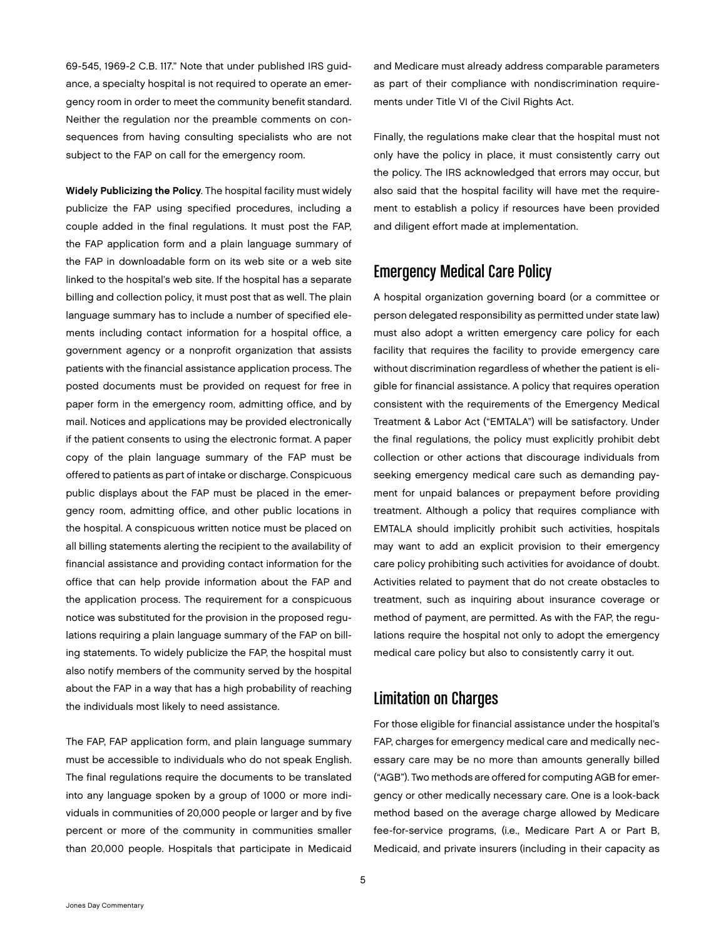69-545, 1969-2 C.B. 117." Note that under published IRS guidance, a specialty hospital is not required to operate an emergency room in order to meet the community benefit standard. Neither the regulation nor the preamble comments on consequences from having consulting specialists who are not subject to the FAP on call for the emergency room.

Widely Publicizing the Policy. The hospital facility must widely publicize the FAP using specified procedures, including a couple added in the final regulations. It must post the FAP, the FAP application form and a plain language summary of the FAP in downloadable form on its web site or a web site linked to the hospital's web site. If the hospital has a separate billing and collection policy, it must post that as well. The plain language summary has to include a number of specified elements including contact information for a hospital office, a government agency or a nonprofit organization that assists patients with the financial assistance application process. The posted documents must be provided on request for free in paper form in the emergency room, admitting office, and by mail. Notices and applications may be provided electronically if the patient consents to using the electronic format. A paper copy of the plain language summary of the FAP must be offered to patients as part of intake or discharge. Conspicuous public displays about the FAP must be placed in the emergency room, admitting office, and other public locations in the hospital. A conspicuous written notice must be placed on all billing statements alerting the recipient to the availability of financial assistance and providing contact information for the office that can help provide information about the FAP and the application process. The requirement for a conspicuous notice was substituted for the provision in the proposed regulations requiring a plain language summary of the FAP on billing statements. To widely publicize the FAP, the hospital must also notify members of the community served by the hospital about the FAP in a way that has a high probability of reaching the individuals most likely to need assistance.

The FAP, FAP application form, and plain language summary must be accessible to individuals who do not speak English. The final regulations require the documents to be translated into any language spoken by a group of 1000 or more individuals in communities of 20,000 people or larger and by five percent or more of the community in communities smaller than 20,000 people. Hospitals that participate in Medicaid

and Medicare must already address comparable parameters as part of their compliance with nondiscrimination requirements under Title VI of the Civil Rights Act.

Finally, the regulations make clear that the hospital must not only have the policy in place, it must consistently carry out the policy. The IRS acknowledged that errors may occur, but also said that the hospital facility will have met the requirement to establish a policy if resources have been provided and diligent effort made at implementation.

# Emergency Medical Care Policy

A hospital organization governing board (or a committee or person delegated responsibility as permitted under state law) must also adopt a written emergency care policy for each facility that requires the facility to provide emergency care without discrimination regardless of whether the patient is eligible for financial assistance. A policy that requires operation consistent with the requirements of the Emergency Medical Treatment & Labor Act ("EMTALA") will be satisfactory. Under the final regulations, the policy must explicitly prohibit debt collection or other actions that discourage individuals from seeking emergency medical care such as demanding payment for unpaid balances or prepayment before providing treatment. Although a policy that requires compliance with EMTALA should implicitly prohibit such activities, hospitals may want to add an explicit provision to their emergency care policy prohibiting such activities for avoidance of doubt. Activities related to payment that do not create obstacles to treatment, such as inquiring about insurance coverage or method of payment, are permitted. As with the FAP, the regulations require the hospital not only to adopt the emergency medical care policy but also to consistently carry it out.

# Limitation on Charges

For those eligible for financial assistance under the hospital's FAP, charges for emergency medical care and medically necessary care may be no more than amounts generally billed ("AGB"). Two methods are offered for computing AGB for emergency or other medically necessary care. One is a look-back method based on the average charge allowed by Medicare fee-for-service programs, (i.e., Medicare Part A or Part B, Medicaid, and private insurers (including in their capacity as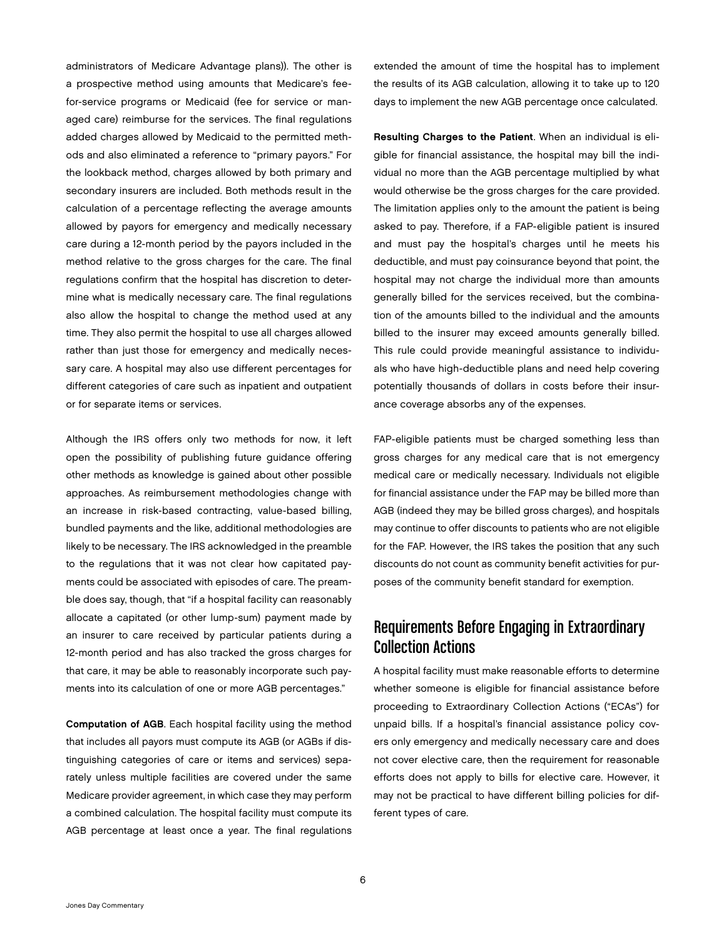administrators of Medicare Advantage plans)). The other is a prospective method using amounts that Medicare's feefor-service programs or Medicaid (fee for service or managed care) reimburse for the services. The final regulations added charges allowed by Medicaid to the permitted methods and also eliminated a reference to "primary payors." For the lookback method, charges allowed by both primary and secondary insurers are included. Both methods result in the calculation of a percentage reflecting the average amounts allowed by payors for emergency and medically necessary care during a 12-month period by the payors included in the method relative to the gross charges for the care. The final regulations confirm that the hospital has discretion to determine what is medically necessary care. The final regulations also allow the hospital to change the method used at any time. They also permit the hospital to use all charges allowed rather than just those for emergency and medically necessary care. A hospital may also use different percentages for different categories of care such as inpatient and outpatient or for separate items or services.

Although the IRS offers only two methods for now, it left open the possibility of publishing future guidance offering other methods as knowledge is gained about other possible approaches. As reimbursement methodologies change with an increase in risk-based contracting, value-based billing, bundled payments and the like, additional methodologies are likely to be necessary. The IRS acknowledged in the preamble to the regulations that it was not clear how capitated payments could be associated with episodes of care. The preamble does say, though, that "if a hospital facility can reasonably allocate a capitated (or other lump-sum) payment made by an insurer to care received by particular patients during a 12-month period and has also tracked the gross charges for that care, it may be able to reasonably incorporate such payments into its calculation of one or more AGB percentages."

Computation of AGB. Each hospital facility using the method that includes all payors must compute its AGB (or AGBs if distinguishing categories of care or items and services) separately unless multiple facilities are covered under the same Medicare provider agreement, in which case they may perform a combined calculation. The hospital facility must compute its AGB percentage at least once a year. The final regulations

extended the amount of time the hospital has to implement the results of its AGB calculation, allowing it to take up to 120 days to implement the new AGB percentage once calculated.

Resulting Charges to the Patient. When an individual is eligible for financial assistance, the hospital may bill the individual no more than the AGB percentage multiplied by what would otherwise be the gross charges for the care provided. The limitation applies only to the amount the patient is being asked to pay. Therefore, if a FAP-eligible patient is insured and must pay the hospital's charges until he meets his deductible, and must pay coinsurance beyond that point, the hospital may not charge the individual more than amounts generally billed for the services received, but the combination of the amounts billed to the individual and the amounts billed to the insurer may exceed amounts generally billed. This rule could provide meaningful assistance to individuals who have high-deductible plans and need help covering potentially thousands of dollars in costs before their insurance coverage absorbs any of the expenses.

FAP-eligible patients must be charged something less than gross charges for any medical care that is not emergency medical care or medically necessary. Individuals not eligible for financial assistance under the FAP may be billed more than AGB (indeed they may be billed gross charges), and hospitals may continue to offer discounts to patients who are not eligible for the FAP. However, the IRS takes the position that any such discounts do not count as community benefit activities for purposes of the community benefit standard for exemption.

# Requirements Before Engaging in Extraordinary Collection Actions

A hospital facility must make reasonable efforts to determine whether someone is eligible for financial assistance before proceeding to Extraordinary Collection Actions ("ECAs") for unpaid bills. If a hospital's financial assistance policy covers only emergency and medically necessary care and does not cover elective care, then the requirement for reasonable efforts does not apply to bills for elective care. However, it may not be practical to have different billing policies for different types of care.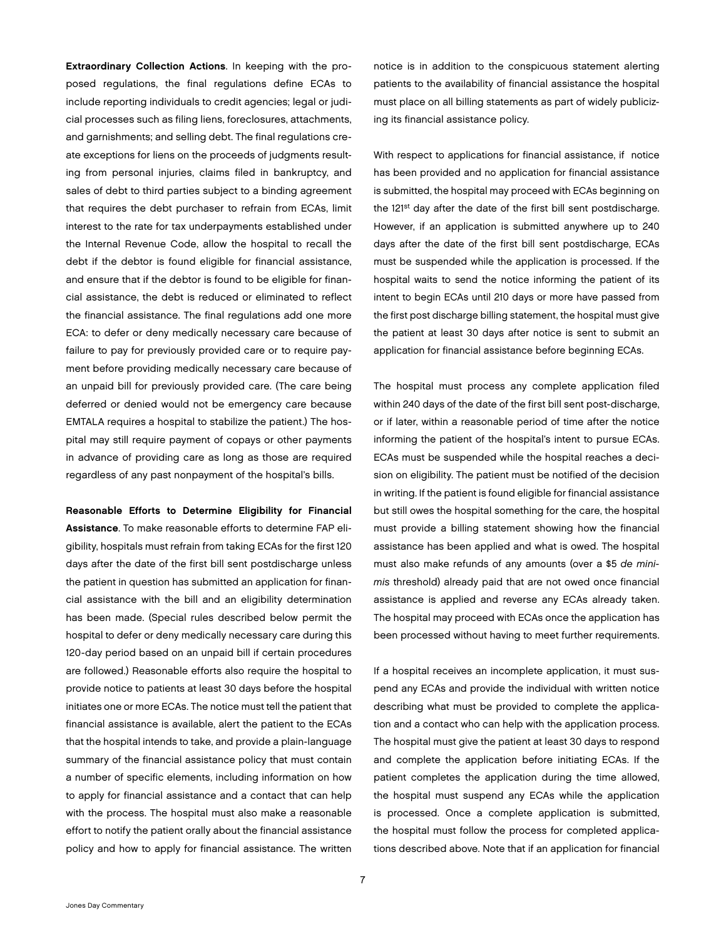Extraordinary Collection Actions. In keeping with the proposed regulations, the final regulations define ECAs to include reporting individuals to credit agencies; legal or judicial processes such as filing liens, foreclosures, attachments, and garnishments; and selling debt. The final regulations create exceptions for liens on the proceeds of judgments resulting from personal injuries, claims filed in bankruptcy, and sales of debt to third parties subject to a binding agreement that requires the debt purchaser to refrain from ECAs, limit interest to the rate for tax underpayments established under the Internal Revenue Code, allow the hospital to recall the debt if the debtor is found eligible for financial assistance, and ensure that if the debtor is found to be eligible for financial assistance, the debt is reduced or eliminated to reflect the financial assistance. The final regulations add one more ECA: to defer or deny medically necessary care because of failure to pay for previously provided care or to require payment before providing medically necessary care because of an unpaid bill for previously provided care. (The care being deferred or denied would not be emergency care because EMTALA requires a hospital to stabilize the patient.) The hospital may still require payment of copays or other payments in advance of providing care as long as those are required regardless of any past nonpayment of the hospital's bills.

Reasonable Efforts to Determine Eligibility for Financial Assistance. To make reasonable efforts to determine FAP eligibility, hospitals must refrain from taking ECAs for the first 120 days after the date of the first bill sent postdischarge unless the patient in question has submitted an application for financial assistance with the bill and an eligibility determination has been made. (Special rules described below permit the hospital to defer or deny medically necessary care during this 120-day period based on an unpaid bill if certain procedures are followed.) Reasonable efforts also require the hospital to provide notice to patients at least 30 days before the hospital initiates one or more ECAs. The notice must tell the patient that financial assistance is available, alert the patient to the ECAs that the hospital intends to take, and provide a plain-language summary of the financial assistance policy that must contain a number of specific elements, including information on how to apply for financial assistance and a contact that can help with the process. The hospital must also make a reasonable effort to notify the patient orally about the financial assistance policy and how to apply for financial assistance. The written

notice is in addition to the conspicuous statement alerting patients to the availability of financial assistance the hospital must place on all billing statements as part of widely publicizing its financial assistance policy.

With respect to applications for financial assistance, if notice has been provided and no application for financial assistance is submitted, the hospital may proceed with ECAs beginning on the 121<sup>st</sup> day after the date of the first bill sent postdischarge. However, if an application is submitted anywhere up to 240 days after the date of the first bill sent postdischarge, ECAs must be suspended while the application is processed. If the hospital waits to send the notice informing the patient of its intent to begin ECAs until 210 days or more have passed from the first post discharge billing statement, the hospital must give the patient at least 30 days after notice is sent to submit an application for financial assistance before beginning ECAs.

The hospital must process any complete application filed within 240 days of the date of the first bill sent post-discharge, or if later, within a reasonable period of time after the notice informing the patient of the hospital's intent to pursue ECAs. ECAs must be suspended while the hospital reaches a decision on eligibility. The patient must be notified of the decision in writing. If the patient is found eligible for financial assistance but still owes the hospital something for the care, the hospital must provide a billing statement showing how the financial assistance has been applied and what is owed. The hospital must also make refunds of any amounts (over a \$5 *de minimis* threshold) already paid that are not owed once financial assistance is applied and reverse any ECAs already taken. The hospital may proceed with ECAs once the application has been processed without having to meet further requirements.

If a hospital receives an incomplete application, it must suspend any ECAs and provide the individual with written notice describing what must be provided to complete the application and a contact who can help with the application process. The hospital must give the patient at least 30 days to respond and complete the application before initiating ECAs. If the patient completes the application during the time allowed, the hospital must suspend any ECAs while the application is processed. Once a complete application is submitted, the hospital must follow the process for completed applications described above. Note that if an application for financial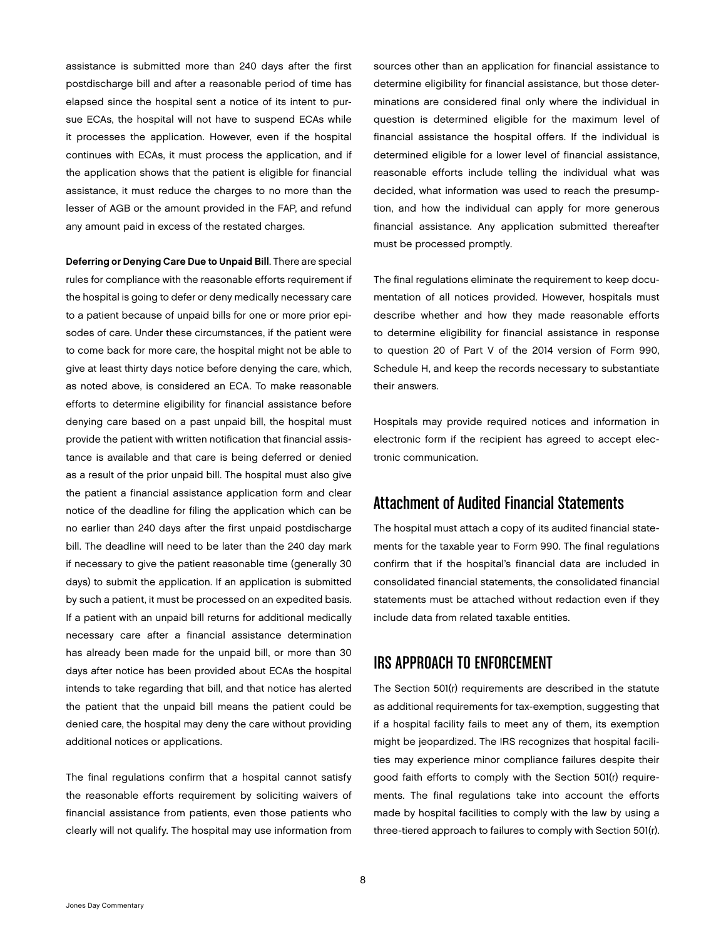assistance is submitted more than 240 days after the first postdischarge bill and after a reasonable period of time has elapsed since the hospital sent a notice of its intent to pursue ECAs, the hospital will not have to suspend ECAs while it processes the application. However, even if the hospital continues with ECAs, it must process the application, and if the application shows that the patient is eligible for financial assistance, it must reduce the charges to no more than the lesser of AGB or the amount provided in the FAP, and refund any amount paid in excess of the restated charges.

Deferring or Denying Care Due to Unpaid Bill. There are special rules for compliance with the reasonable efforts requirement if the hospital is going to defer or deny medically necessary care to a patient because of unpaid bills for one or more prior episodes of care. Under these circumstances, if the patient were to come back for more care, the hospital might not be able to give at least thirty days notice before denying the care, which, as noted above, is considered an ECA. To make reasonable efforts to determine eligibility for financial assistance before denying care based on a past unpaid bill, the hospital must provide the patient with written notification that financial assistance is available and that care is being deferred or denied as a result of the prior unpaid bill. The hospital must also give the patient a financial assistance application form and clear notice of the deadline for filing the application which can be no earlier than 240 days after the first unpaid postdischarge bill. The deadline will need to be later than the 240 day mark if necessary to give the patient reasonable time (generally 30 days) to submit the application. If an application is submitted by such a patient, it must be processed on an expedited basis. If a patient with an unpaid bill returns for additional medically necessary care after a financial assistance determination has already been made for the unpaid bill, or more than 30 days after notice has been provided about ECAs the hospital intends to take regarding that bill, and that notice has alerted the patient that the unpaid bill means the patient could be denied care, the hospital may deny the care without providing additional notices or applications.

The final regulations confirm that a hospital cannot satisfy the reasonable efforts requirement by soliciting waivers of financial assistance from patients, even those patients who clearly will not qualify. The hospital may use information from sources other than an application for financial assistance to determine eligibility for financial assistance, but those determinations are considered final only where the individual in question is determined eligible for the maximum level of financial assistance the hospital offers. If the individual is determined eligible for a lower level of financial assistance, reasonable efforts include telling the individual what was decided, what information was used to reach the presumption, and how the individual can apply for more generous financial assistance. Any application submitted thereafter must be processed promptly.

The final regulations eliminate the requirement to keep documentation of all notices provided. However, hospitals must describe whether and how they made reasonable efforts to determine eligibility for financial assistance in response to question 20 of Part V of the 2014 version of Form 990, Schedule H, and keep the records necessary to substantiate their answers.

Hospitals may provide required notices and information in electronic form if the recipient has agreed to accept electronic communication.

#### Attachment of Audited Financial Statements

The hospital must attach a copy of its audited financial statements for the taxable year to Form 990. The final regulations confirm that if the hospital's financial data are included in consolidated financial statements, the consolidated financial statements must be attached without redaction even if they include data from related taxable entities.

#### IRS APPROACH TO ENFORCEMENT

The Section 501(r) requirements are described in the statute as additional requirements for tax-exemption, suggesting that if a hospital facility fails to meet any of them, its exemption might be jeopardized. The IRS recognizes that hospital facilities may experience minor compliance failures despite their good faith efforts to comply with the Section 501(r) requirements. The final regulations take into account the efforts made by hospital facilities to comply with the law by using a three-tiered approach to failures to comply with Section 501(r).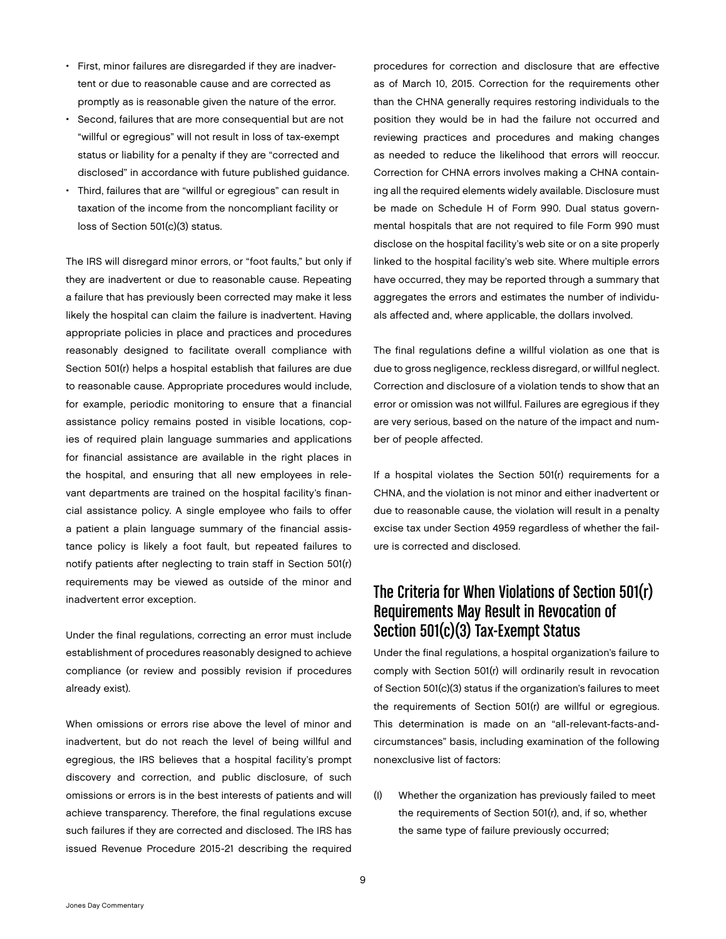- First, minor failures are disregarded if they are inadvertent or due to reasonable cause and are corrected as promptly as is reasonable given the nature of the error.
- Second, failures that are more consequential but are not "willful or egregious" will not result in loss of tax-exempt status or liability for a penalty if they are "corrected and disclosed" in accordance with future published guidance.
- Third, failures that are "willful or egregious" can result in taxation of the income from the noncompliant facility or loss of Section 501(c)(3) status.

The IRS will disregard minor errors, or "foot faults," but only if they are inadvertent or due to reasonable cause. Repeating a failure that has previously been corrected may make it less likely the hospital can claim the failure is inadvertent. Having appropriate policies in place and practices and procedures reasonably designed to facilitate overall compliance with Section 501(r) helps a hospital establish that failures are due to reasonable cause. Appropriate procedures would include, for example, periodic monitoring to ensure that a financial assistance policy remains posted in visible locations, copies of required plain language summaries and applications for financial assistance are available in the right places in the hospital, and ensuring that all new employees in relevant departments are trained on the hospital facility's financial assistance policy. A single employee who fails to offer a patient a plain language summary of the financial assistance policy is likely a foot fault, but repeated failures to notify patients after neglecting to train staff in Section 501(r) requirements may be viewed as outside of the minor and inadvertent error exception.

Under the final regulations, correcting an error must include establishment of procedures reasonably designed to achieve compliance (or review and possibly revision if procedures already exist).

When omissions or errors rise above the level of minor and inadvertent, but do not reach the level of being willful and egregious, the IRS believes that a hospital facility's prompt discovery and correction, and public disclosure, of such omissions or errors is in the best interests of patients and will achieve transparency. Therefore, the final regulations excuse such failures if they are corrected and disclosed. The IRS has issued Revenue Procedure 2015-21 describing the required

procedures for correction and disclosure that are effective as of March 10, 2015. Correction for the requirements other than the CHNA generally requires restoring individuals to the position they would be in had the failure not occurred and reviewing practices and procedures and making changes as needed to reduce the likelihood that errors will reoccur. Correction for CHNA errors involves making a CHNA containing all the required elements widely available. Disclosure must be made on Schedule H of Form 990. Dual status governmental hospitals that are not required to file Form 990 must disclose on the hospital facility's web site or on a site properly linked to the hospital facility's web site. Where multiple errors have occurred, they may be reported through a summary that aggregates the errors and estimates the number of individuals affected and, where applicable, the dollars involved.

The final regulations define a willful violation as one that is due to gross negligence, reckless disregard, or willful neglect. Correction and disclosure of a violation tends to show that an error or omission was not willful. Failures are egregious if they are very serious, based on the nature of the impact and number of people affected.

If a hospital violates the Section 501(r) requirements for a CHNA, and the violation is not minor and either inadvertent or due to reasonable cause, the violation will result in a penalty excise tax under Section 4959 regardless of whether the failure is corrected and disclosed.

# The Criteria for When Violations of Section 501(r) Requirements May Result in Revocation of Section 501(c)(3) Tax-Exempt Status

Under the final regulations, a hospital organization's failure to comply with Section 501(r) will ordinarily result in revocation of Section 501(c)(3) status if the organization's failures to meet the requirements of Section 501(r) are willful or egregious. This determination is made on an "all-relevant-facts-andcircumstances" basis, including examination of the following nonexclusive list of factors:

(I) Whether the organization has previously failed to meet the requirements of Section 501(r), and, if so, whether the same type of failure previously occurred;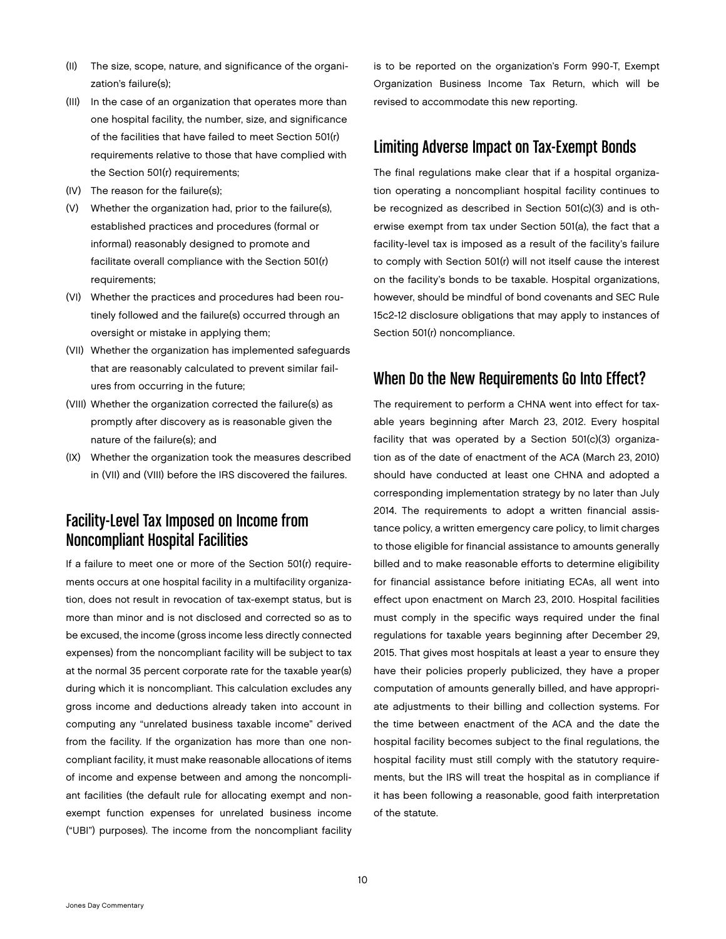- (II) The size, scope, nature, and significance of the organization's failure(s);
- (III) In the case of an organization that operates more than one hospital facility, the number, size, and significance of the facilities that have failed to meet Section 501(r) requirements relative to those that have complied with the Section 501(r) requirements;
- (IV) The reason for the failure(s);
- (V) Whether the organization had, prior to the failure(s), established practices and procedures (formal or informal) reasonably designed to promote and facilitate overall compliance with the Section 501(r) requirements;
- (VI) Whether the practices and procedures had been routinely followed and the failure(s) occurred through an oversight or mistake in applying them;
- (VII) Whether the organization has implemented safeguards that are reasonably calculated to prevent similar failures from occurring in the future;
- (VIII) Whether the organization corrected the failure(s) as promptly after discovery as is reasonable given the nature of the failure(s); and
- (IX) Whether the organization took the measures described in (VII) and (VIII) before the IRS discovered the failures.

# Facility-Level Tax Imposed on Income from Noncompliant Hospital Facilities

If a failure to meet one or more of the Section 501(r) requirements occurs at one hospital facility in a multifacility organization, does not result in revocation of tax-exempt status, but is more than minor and is not disclosed and corrected so as to be excused, the income (gross income less directly connected expenses) from the noncompliant facility will be subject to tax at the normal 35 percent corporate rate for the taxable year(s) during which it is noncompliant. This calculation excludes any gross income and deductions already taken into account in computing any "unrelated business taxable income" derived from the facility. If the organization has more than one noncompliant facility, it must make reasonable allocations of items of income and expense between and among the noncompliant facilities (the default rule for allocating exempt and nonexempt function expenses for unrelated business income ("UBI") purposes). The income from the noncompliant facility

is to be reported on the organization's Form 990-T, Exempt Organization Business Income Tax Return, which will be revised to accommodate this new reporting.

# Limiting Adverse Impact on Tax-Exempt Bonds

The final regulations make clear that if a hospital organization operating a noncompliant hospital facility continues to be recognized as described in Section 501(c)(3) and is otherwise exempt from tax under Section 501(a), the fact that a facility-level tax is imposed as a result of the facility's failure to comply with Section 501(r) will not itself cause the interest on the facility's bonds to be taxable. Hospital organizations, however, should be mindful of bond covenants and SEC Rule 15c2-12 disclosure obligations that may apply to instances of Section 501(r) noncompliance.

# When Do the New Requirements Go Into Effect?

The requirement to perform a CHNA went into effect for taxable years beginning after March 23, 2012. Every hospital facility that was operated by a Section 501(c)(3) organization as of the date of enactment of the ACA (March 23, 2010) should have conducted at least one CHNA and adopted a corresponding implementation strategy by no later than July 2014. The requirements to adopt a written financial assistance policy, a written emergency care policy, to limit charges to those eligible for financial assistance to amounts generally billed and to make reasonable efforts to determine eligibility for financial assistance before initiating ECAs, all went into effect upon enactment on March 23, 2010. Hospital facilities must comply in the specific ways required under the final regulations for taxable years beginning after December 29, 2015. That gives most hospitals at least a year to ensure they have their policies properly publicized, they have a proper computation of amounts generally billed, and have appropriate adjustments to their billing and collection systems. For the time between enactment of the ACA and the date the hospital facility becomes subject to the final regulations, the hospital facility must still comply with the statutory requirements, but the IRS will treat the hospital as in compliance if it has been following a reasonable, good faith interpretation of the statute.